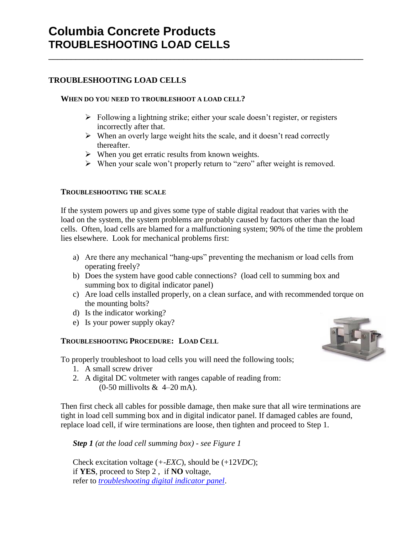# **TROUBLESHOOTING LOAD CELLS**

### **WHEN DO YOU NEED TO TROUBLESHOOT A LOAD CELL?**

- $\triangleright$  Following a lightning strike; either your scale doesn't register, or registers incorrectly after that.
- $\triangleright$  When an overly large weight hits the scale, and it doesn't read correctly thereafter.

\_\_\_\_\_\_\_\_\_\_\_\_\_\_\_\_\_\_\_\_\_\_\_\_\_\_\_\_\_\_\_\_\_\_\_\_\_\_\_\_\_\_\_\_\_\_\_\_\_\_\_\_\_\_\_\_\_\_\_\_\_\_\_\_\_\_\_\_\_\_

- $\triangleright$  When you get erratic results from known weights.
- When your scale won't properly return to "zero" after weight is removed.

### **TROUBLESHOOTING THE SCALE**

If the system powers up and gives some type of stable digital readout that varies with the load on the system, the system problems are probably caused by factors other than the load cells. Often, load cells are blamed for a malfunctioning system; 90% of the time the problem lies elsewhere. Look for mechanical problems first:

- a) Are there any mechanical "hang-ups" preventing the mechanism or load cells from operating freely?
- b) Does the system have good cable connections? (load cell to summing box and summing box to digital indicator panel)
- c) Are load cells installed properly, on a clean surface, and with recommended torque on the mounting bolts?
- d) Is the indicator working?
- e) Is your power supply okay?

### **TROUBLESHOOTING PROCEDURE: LOAD CELL**

To properly troubleshoot to load cells you will need the following tools;

- 1. A small screw driver
- 2. A digital DC voltmeter with ranges capable of reading from:  $(0-50$  millivolts & 4–20 mA).

Then first check all cables for possible damage, then make sure that all wire terminations are tight in load cell summing box and in digital indicator panel. If damaged cables are found, replace load cell, if wire terminations are loose, then tighten and proceed to Step 1.

*Step 1 (at the load cell summing box) - see Figure 1*

Check excitation voltage (*+-EXC*), should be (+12*VDC*); if **YES**, proceed to Step 2 , if **NO** voltage, refer to *[troubleshooting digital indicator panel](Troubleshooting-Scale2.doc)*.